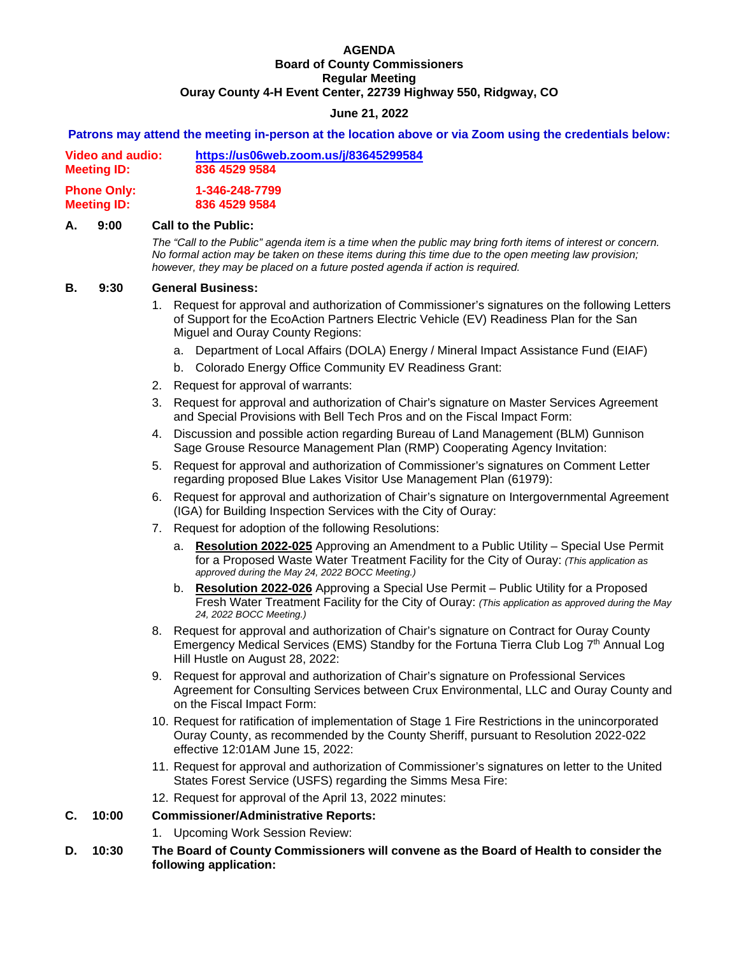#### **AGENDA Board of County Commissioners Regular Meeting Ouray County 4-H Event Center, 22739 Highway 550, Ridgway, CO**

# **June 21, 2022**

#### **Patrons may attend the meeting in-person at the location above or via Zoom using the credentials below:**

| <b>Meeting ID:</b> | 836 4529 9584 |
|--------------------|---------------|
|                    |               |

**Phone Only: 1-346-248-7799 Meeting ID: 836 4529 9584**

## **A. 9:00 Call to the Public:**

 *The "Call to the Public" agenda item is a time when the public may bring forth items of interest or concern. No formal action may be taken on these items during this time due to the open meeting law provision; however, they may be placed on a future posted agenda if action is required.*

#### **B. 9:30 General Business:**

- 1. Request for approval and authorization of Commissioner's signatures on the following Letters of Support for the EcoAction Partners Electric Vehicle (EV) Readiness Plan for the San Miguel and Ouray County Regions:
	- a. Department of Local Affairs (DOLA) Energy / Mineral Impact Assistance Fund (EIAF)
	- b. Colorado Energy Office Community EV Readiness Grant:
- 2. Request for approval of warrants:
- 3. Request for approval and authorization of Chair's signature on Master Services Agreement and Special Provisions with Bell Tech Pros and on the Fiscal Impact Form:
- 4. Discussion and possible action regarding Bureau of Land Management (BLM) Gunnison Sage Grouse Resource Management Plan (RMP) Cooperating Agency Invitation:
- 5. Request for approval and authorization of Commissioner's signatures on Comment Letter regarding proposed Blue Lakes Visitor Use Management Plan (61979):
- 6. Request for approval and authorization of Chair's signature on Intergovernmental Agreement (IGA) for Building Inspection Services with the City of Ouray:
- 7. Request for adoption of the following Resolutions:
	- a. **Resolution 2022-025** Approving an Amendment to a Public Utility Special Use Permit for a Proposed Waste Water Treatment Facility for the City of Ouray: *(This application as approved during the May 24, 2022 BOCC Meeting.)*
	- b. **Resolution 2022-026** Approving a Special Use Permit Public Utility for a Proposed Fresh Water Treatment Facility for the City of Ouray: *(This application as approved during the May 24, 2022 BOCC Meeting.)*
- 8. Request for approval and authorization of Chair's signature on Contract for Ouray County Emergency Medical Services (EMS) Standby for the Fortuna Tierra Club Log 7<sup>th</sup> Annual Log Hill Hustle on August 28, 2022:
- 9. Request for approval and authorization of Chair's signature on Professional Services Agreement for Consulting Services between Crux Environmental, LLC and Ouray County and on the Fiscal Impact Form:
- 10. Request for ratification of implementation of Stage 1 Fire Restrictions in the unincorporated Ouray County, as recommended by the County Sheriff, pursuant to Resolution 2022-022 effective 12:01AM June 15, 2022:
- 11. Request for approval and authorization of Commissioner's signatures on letter to the United States Forest Service (USFS) regarding the Simms Mesa Fire:
- 12. Request for approval of the April 13, 2022 minutes:

#### **C. 10:00 Commissioner/Administrative Reports:**

- 1. Upcoming Work Session Review:
- **D. 10:30 The Board of County Commissioners will convene as the Board of Health to consider the following application:**